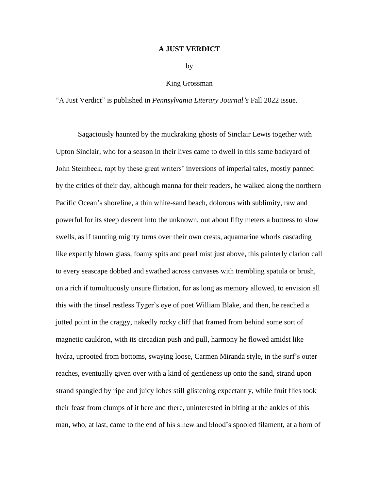## **A JUST VERDICT**

by

## King Grossman

"A Just Verdict" is published in *Pennsylvania Literary Journal's* Fall 2022 issue.

Sagaciously haunted by the muckraking ghosts of Sinclair Lewis together with Upton Sinclair, who for a season in their lives came to dwell in this same backyard of John Steinbeck, rapt by these great writers' inversions of imperial tales, mostly panned by the critics of their day, although manna for their readers, he walked along the northern Pacific Ocean's shoreline, a thin white-sand beach, dolorous with sublimity, raw and powerful for its steep descent into the unknown, out about fifty meters a buttress to slow swells, as if taunting mighty turns over their own crests, aquamarine whorls cascading like expertly blown glass, foamy spits and pearl mist just above, this painterly clarion call to every seascape dobbed and swathed across canvases with trembling spatula or brush, on a rich if tumultuously unsure flirtation, for as long as memory allowed, to envision all this with the tinsel restless Tyger's eye of poet William Blake, and then, he reached a jutted point in the craggy, nakedly rocky cliff that framed from behind some sort of magnetic cauldron, with its circadian push and pull, harmony he flowed amidst like hydra, uprooted from bottoms, swaying loose, Carmen Miranda style, in the surf's outer reaches, eventually given over with a kind of gentleness up onto the sand, strand upon strand spangled by ripe and juicy lobes still glistening expectantly, while fruit flies took their feast from clumps of it here and there, uninterested in biting at the ankles of this man, who, at last, came to the end of his sinew and blood's spooled filament, at a horn of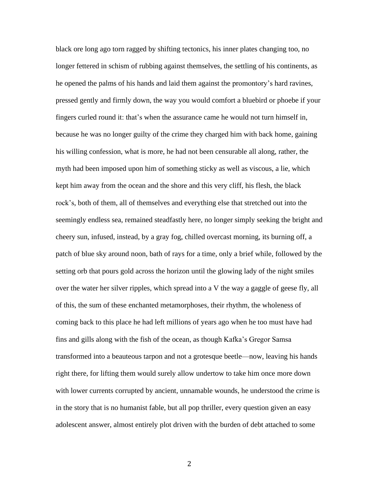black ore long ago torn ragged by shifting tectonics, his inner plates changing too, no longer fettered in schism of rubbing against themselves, the settling of his continents, as he opened the palms of his hands and laid them against the promontory's hard ravines, pressed gently and firmly down, the way you would comfort a bluebird or phoebe if your fingers curled round it: that's when the assurance came he would not turn himself in, because he was no longer guilty of the crime they charged him with back home, gaining his willing confession, what is more, he had not been censurable all along, rather, the myth had been imposed upon him of something sticky as well as viscous, a lie, which kept him away from the ocean and the shore and this very cliff, his flesh, the black rock's, both of them, all of themselves and everything else that stretched out into the seemingly endless sea, remained steadfastly here, no longer simply seeking the bright and cheery sun, infused, instead, by a gray fog, chilled overcast morning, its burning off, a patch of blue sky around noon, bath of rays for a time, only a brief while, followed by the setting orb that pours gold across the horizon until the glowing lady of the night smiles over the water her silver ripples, which spread into a V the way a gaggle of geese fly, all of this, the sum of these enchanted metamorphoses, their rhythm, the wholeness of coming back to this place he had left millions of years ago when he too must have had fins and gills along with the fish of the ocean, as though Kafka's Gregor Samsa transformed into a beauteous tarpon and not a grotesque beetle—now, leaving his hands right there, for lifting them would surely allow undertow to take him once more down with lower currents corrupted by ancient, unnamable wounds, he understood the crime is in the story that is no humanist fable, but all pop thriller, every question given an easy adolescent answer, almost entirely plot driven with the burden of debt attached to some

2